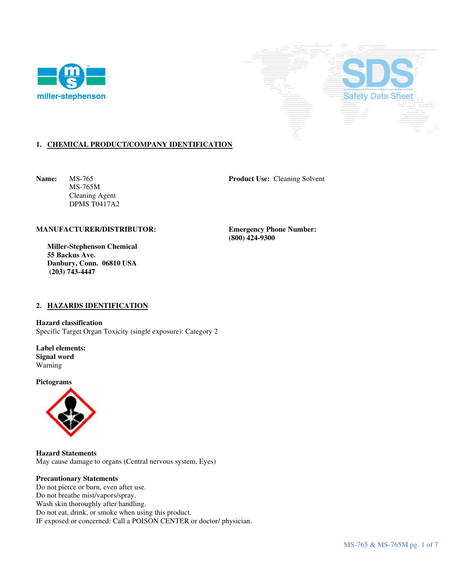



# **1. CHEMICAL PRODUCT/COMPANY IDENTIFICATION**

 MS-765M Cleaning Agent DPMS T0417A2

**Name:** MS-765 **Product Use: Cleaning Solvent** 

### **MANUFACTURER/DISTRIBUTOR: Emergency Phone Number:**

 **Miller-Stephenson Chemical 55 Backus Ave. Danbury, Conn. 06810 USA (203) 743-4447** 

 **(800) 424-9300** 

### **2. HAZARDS IDENTIFICATION**

**Hazard classification**  Specific Target Organ Toxicity (single exposure): Category 2

**Label elements: Signal word**  Warning

**Pictograms** 



**Hazard Statements**  May cause damage to organs (Central nervous system, Eyes)

### **Precautionary Statements**

Do not pierce or burn, even after use. Do not breathe mist/vapors/spray. Wash skin thoroughly after handling. Do not eat, drink, or smoke when using this product. IF exposed or concerned: Call a POISON CENTER or doctor/ physician.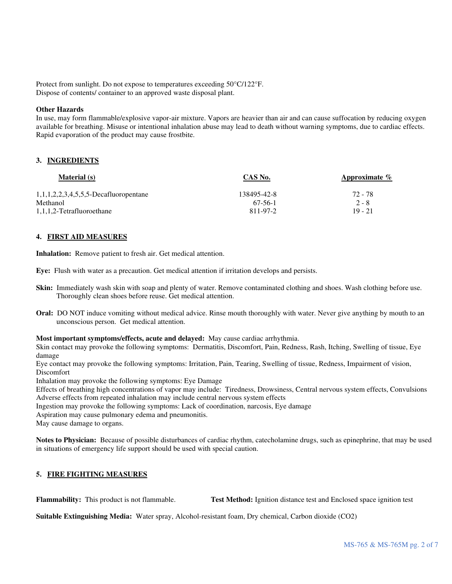Protect from sunlight. Do not expose to temperatures exceeding 50°C/122°F. Dispose of contents/ container to an approved waste disposal plant.

### **Other Hazards**

In use, may form flammable/explosive vapor-air mixture. Vapors are heavier than air and can cause suffocation by reducing oxygen available for breathing. Misuse or intentional inhalation abuse may lead to death without warning symptoms, due to cardiac effects. Rapid evaporation of the product may cause frostbite.

### **3. INGREDIENTS**

| <b>Material</b> (s)                               | CAS No.     | Approximate $\%$ |
|---------------------------------------------------|-------------|------------------|
| $1, 1, 1, 2, 2, 3, 4, 5, 5, 5$ -Decafluoropentane | 138495-42-8 | 72 - 78          |
| Methanol                                          | $67-56-1$   | $2 - 8$          |
| 1,1,1,2-Tetrafluoroethane                         | 811-97-2    | 19 - 21          |

#### **4. FIRST AID MEASURES**

**Inhalation:** Remove patient to fresh air. Get medical attention.

**Eye:** Flush with water as a precaution. Get medical attention if irritation develops and persists.

- **Skin:** Immediately wash skin with soap and plenty of water. Remove contaminated clothing and shoes. Wash clothing before use. Thoroughly clean shoes before reuse. Get medical attention.
- **Oral:** DO NOT induce vomiting without medical advice. Rinse mouth thoroughly with water. Never give anything by mouth to an unconscious person. Get medical attention.

**Most important symptoms/effects, acute and delayed:** May cause cardiac arrhythmia.

Skin contact may provoke the following symptoms: Dermatitis, Discomfort, Pain, Redness, Rash, Itching, Swelling of tissue, Eye damage

Eye contact may provoke the following symptoms: Irritation, Pain, Tearing, Swelling of tissue, Redness, Impairment of vision, Discomfort

Inhalation may provoke the following symptoms: Eye Damage

Effects of breathing high concentrations of vapor may include: Tiredness, Drowsiness, Central nervous system effects, Convulsions Adverse effects from repeated inhalation may include central nervous system effects

Ingestion may provoke the following symptoms: Lack of coordination, narcosis, Eye damage

Aspiration may cause pulmonary edema and pneumonitis.

May cause damage to organs.

**Notes to Physician:** Because of possible disturbances of cardiac rhythm, catecholamine drugs, such as epinephrine, that may be used in situations of emergency life support should be used with special caution.

### **5. FIRE FIGHTING MEASURES**

**Flammability:** This product is not flammable. **Test Method:** Ignition distance test and Enclosed space ignition test

**Suitable Extinguishing Media:** Water spray, Alcohol-resistant foam, Dry chemical, Carbon dioxide (CO2)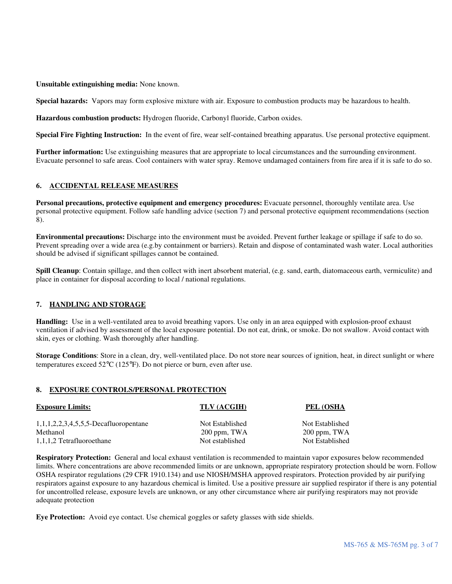**Unsuitable extinguishing media:** None known.

**Special hazards:** Vapors may form explosive mixture with air. Exposure to combustion products may be hazardous to health.

**Hazardous combustion products:** Hydrogen fluoride, Carbonyl fluoride, Carbon oxides.

**Special Fire Fighting Instruction:** In the event of fire, wear self-contained breathing apparatus. Use personal protective equipment.

**Further information:** Use extinguishing measures that are appropriate to local circumstances and the surrounding environment. Evacuate personnel to safe areas. Cool containers with water spray. Remove undamaged containers from fire area if it is safe to do so.

# **6. ACCIDENTAL RELEASE MEASURES**

**Personal precautions, protective equipment and emergency procedures:** Evacuate personnel, thoroughly ventilate area. Use personal protective equipment. Follow safe handling advice (section 7) and personal protective equipment recommendations (section 8).

**Environmental precautions:** Discharge into the environment must be avoided. Prevent further leakage or spillage if safe to do so. Prevent spreading over a wide area (e.g.by containment or barriers). Retain and dispose of contaminated wash water. Local authorities should be advised if significant spillages cannot be contained.

**Spill Cleanup**: Contain spillage, and then collect with inert absorbent material, (e.g. sand, earth, diatomaceous earth, vermiculite) and place in container for disposal according to local / national regulations.

# **7. HANDLING AND STORAGE**

**Handling:** Use in a well-ventilated area to avoid breathing vapors. Use only in an area equipped with explosion-proof exhaust ventilation if advised by assessment of the local exposure potential. Do not eat, drink, or smoke. Do not swallow. Avoid contact with skin, eyes or clothing. Wash thoroughly after handling.

**Storage Conditions**: Store in a clean, dry, well-ventilated place. Do not store near sources of ignition, heat, in direct sunlight or where temperatures exceed 52°C (125°F). Do not pierce or burn, even after use.

# **8. EXPOSURE CONTROLS/PERSONAL PROTECTION**

| <b>Exposure Limits:</b>                  | TLV (ACGIH)     | PEL (OSHA       |
|------------------------------------------|-----------------|-----------------|
| $1,1,1,2,2,3,4,5,5,5$ -Decafluoropentane | Not Established | Not Established |
| Methanol                                 | $200$ ppm, TWA  | $200$ ppm, TWA  |
| 1,1,1,2 Tetrafluoroethane                | Not established | Not Established |

**Respiratory Protection:** General and local exhaust ventilation is recommended to maintain vapor exposures below recommended limits. Where concentrations are above recommended limits or are unknown, appropriate respiratory protection should be worn. Follow OSHA respirator regulations (29 CFR 1910.134) and use NIOSH/MSHA approved respirators. Protection provided by air purifying respirators against exposure to any hazardous chemical is limited. Use a positive pressure air supplied respirator if there is any potential for uncontrolled release, exposure levels are unknown, or any other circumstance where air purifying respirators may not provide adequate protection

**Eye Protection:** Avoid eye contact. Use chemical goggles or safety glasses with side shields.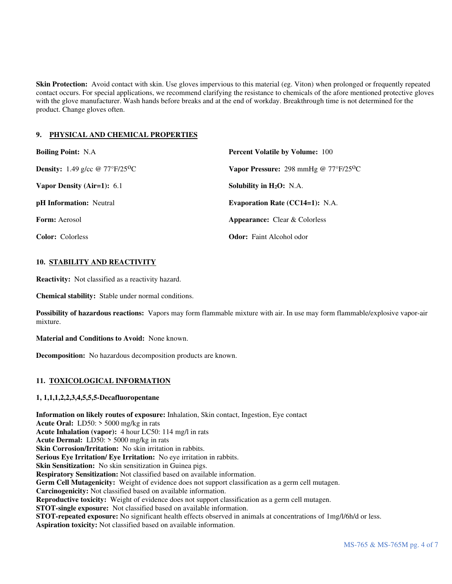**Skin Protection:** Avoid contact with skin. Use gloves impervious to this material (eg. Viton) when prolonged or frequently repeated contact occurs. For special applications, we recommend clarifying the resistance to chemicals of the afore mentioned protective gloves with the glove manufacturer. Wash hands before breaks and at the end of workday. Breakthrough time is not determined for the product. Change gloves often.

# **9. PHYSICAL AND CHEMICAL PROPERTIES**

| <b>Boiling Point: N.A.</b>                            | <b>Percent Volatile by Volume: 100</b>               |
|-------------------------------------------------------|------------------------------------------------------|
| <b>Density:</b> 1.49 g/cc @ $77^{\circ}F/25^{\circ}C$ | Vapor Pressure: 298 mmHg @ $77^{\circ}F/25^{\circ}C$ |
| Vapor Density (Air=1): $6.1$                          | Solubility in $H_2O$ : N.A.                          |
| <b>pH</b> Information: Neutral                        | <b>Evaporation Rate (CC14=1): N.A.</b>               |
| <b>Form:</b> Aerosol                                  | <b>Appearance:</b> Clear & Colorless                 |
| <b>Color:</b> Colorless                               | <b>Odor:</b> Faint Alcohol odor                      |

# **10. STABILITY AND REACTIVITY**

**Reactivity:** Not classified as a reactivity hazard.

**Chemical stability:** Stable under normal conditions.

**Possibility of hazardous reactions:** Vapors may form flammable mixture with air. In use may form flammable/explosive vapor-air mixture.

**Material and Conditions to Avoid:** None known.

**Decomposition:** No hazardous decomposition products are known.

# **11. TOXICOLOGICAL INFORMATION**

# **1, 1,1,1,2,2,3,4,5,5,5-Decafluoropentane**

**Information on likely routes of exposure:** Inhalation, Skin contact, Ingestion, Eye contact **Acute Oral:** LD50: > 5000 mg/kg in rats **Acute Inhalation (vapor):** 4 hour LC50: 114 mg/l in rats **Acute Dermal:** LD50: > 5000 mg/kg in rats **Skin Corrosion/Irritation:** No skin irritation in rabbits. **Serious Eye Irritation/ Eye Irritation:** No eye irritation in rabbits. **Skin Sensitization:** No skin sensitization in Guinea pigs. **Respiratory Sensitization:** Not classified based on available information. **Germ Cell Mutagenicity:** Weight of evidence does not support classification as a germ cell mutagen. **Carcinogenicity:** Not classified based on available information. **Reproductive toxicity:** Weight of evidence does not support classification as a germ cell mutagen. **STOT-single exposure:** Not classified based on available information. **STOT-repeated exposure:** No significant health effects observed in animals at concentrations of 1mg/l/6h/d or less. **Aspiration toxicity:** Not classified based on available information.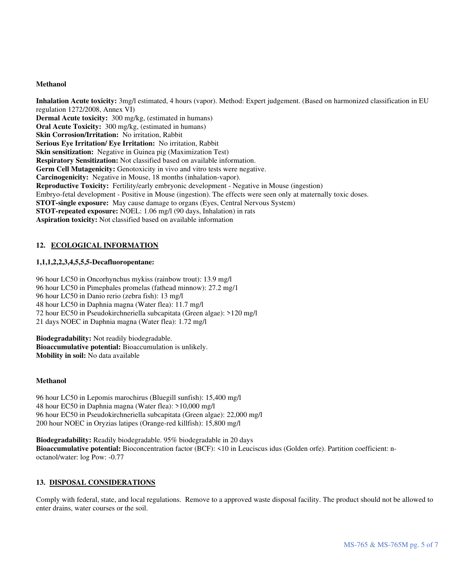### **Methanol**

**Inhalation Acute toxicity:** 3mg/l estimated, 4 hours (vapor). Method: Expert judgement. (Based on harmonized classification in EU regulation 1272/2008, Annex VI) **Dermal Acute toxicity:** 300 mg/kg, (estimated in humans) **Oral Acute Toxicity:** 300 mg/kg, (estimated in humans) **Skin Corrosion/Irritation:** No irritation, Rabbit **Serious Eye Irritation/ Eye Irritation:** No irritation, Rabbit **Skin sensitization:** Negative in Guinea pig (Maximization Test) **Respiratory Sensitization:** Not classified based on available information. Germ Cell Mutagenicity: Genotoxicity in vivo and vitro tests were negative. **Carcinogenicity:** Negative in Mouse, 18 months (inhalation-vapor). **Reproductive Toxicity:** Fertility/early embryonic development - Negative in Mouse (ingestion) Embryo-fetal development - Positive in Mouse (ingestion). The effects were seen only at maternally toxic doses. **STOT-single exposure:** May cause damage to organs (Eyes, Central Nervous System) **STOT-repeated exposure:** NOEL: 1.06 mg/l (90 days, Inhalation) in rats **Aspiration toxicity:** Not classified based on available information

### **12. ECOLOGICAL INFORMATION**

### **1,1,1,2,2,3,4,5,5,5-Decafluoropentane:**

96 hour LC50 in Oncorhynchus mykiss (rainbow trout): 13.9 mg/l 96 hour LC50 in Pimephales promelas (fathead minnow): 27.2 mg/1 96 hour LC50 in Danio rerio (zebra fish): 13 mg/l 48 hour LC50 in Daphnia magna (Water flea): 11.7 mg/l 72 hour EC50 in Pseudokirchneriella subcapitata (Green algae): >120 mg/l 21 days NOEC in Daphnia magna (Water flea): 1.72 mg/l

**Biodegradability:** Not readily biodegradable. **Bioaccumulative potential:** Bioaccumulation is unlikely. **Mobility in soil:** No data available

### **Methanol**

96 hour LC50 in Lepomis marochirus (Bluegill sunfish): 15,400 mg/l 48 hour EC50 in Daphnia magna (Water flea): >10,000 mg/l 96 hour EC50 in Pseudokirchneriella subcapitata (Green algae): 22,000 mg/l 200 hour NOEC in Oryzias latipes (Orange-red killfish): 15,800 mg/l

**Biodegradability:** Readily biodegradable. 95% biodegradable in 20 days **Bioaccumulative potential:** Bioconcentration factor (BCF): <10 in Leuciscus idus (Golden orfe). Partition coefficient: noctanol/water: log Pow: -0.77

#### **13. DISPOSAL CONSIDERATIONS**

Comply with federal, state, and local regulations. Remove to a approved waste disposal facility. The product should not be allowed to enter drains, water courses or the soil.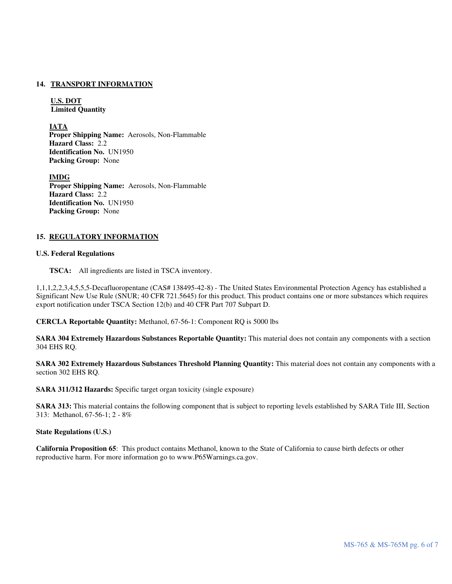### **14. TRANSPORT INFORMATION**

**U.S. DOT Limited Quantity** 

**IATA** 

 **Proper Shipping Name:** Aerosols, Non-Flammable **Hazard Class:** 2.2 **Identification No.** UN1950 **Packing Group:** None

 **IMDG Proper Shipping Name:** Aerosols, Non-Flammable **Hazard Class:** 2.2 **Identification No.** UN1950 **Packing Group:** None

### **15. REGULATORY INFORMATION**

### **U.S. Federal Regulations**

 **TSCA:** All ingredients are listed in TSCA inventory.

1,1,1,2,2,3,4,5,5,5-Decafluoropentane (CAS# 138495-42-8) - The United States Environmental Protection Agency has established a Significant New Use Rule (SNUR; 40 CFR 721.5645) for this product. This product contains one or more substances which requires export notification under TSCA Section 12(b) and 40 CFR Part 707 Subpart D.

**CERCLA Reportable Quantity:** Methanol, 67-56-1: Component RQ is 5000 lbs

**SARA 304 Extremely Hazardous Substances Reportable Quantity:** This material does not contain any components with a section 304 EHS RQ.

**SARA 302 Extremely Hazardous Substances Threshold Planning Quantity:** This material does not contain any components with a section 302 EHS RQ.

**SARA 311/312 Hazards:** Specific target organ toxicity (single exposure)

**SARA 313:** This material contains the following component that is subject to reporting levels established by SARA Title III, Section 313: Methanol, 67-56-1; 2 - 8%

**State Regulations (U.S.)** 

**California Proposition 65**: This product contains Methanol, known to the State of California to cause birth defects or other reproductive harm. For more information go to www.P65Warnings.ca.gov.